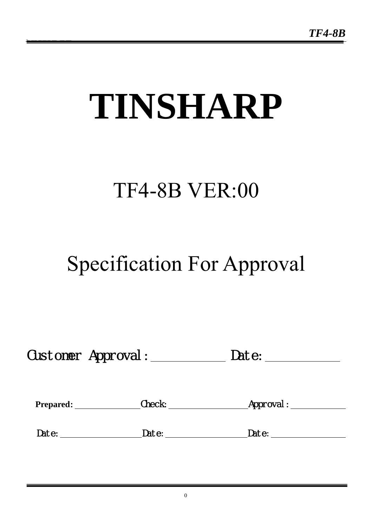# **TINSHARP**

# TF4-8B VER:00

# Specification For Approval

|  | <b>Customer Approval</b> | Date: |  |
|--|--------------------------|-------|--|
|--|--------------------------|-------|--|

| <b>Prepared:</b> | Check: | Approval : |  |
|------------------|--------|------------|--|
|                  |        |            |  |
| Date:            | Date:  | Date:      |  |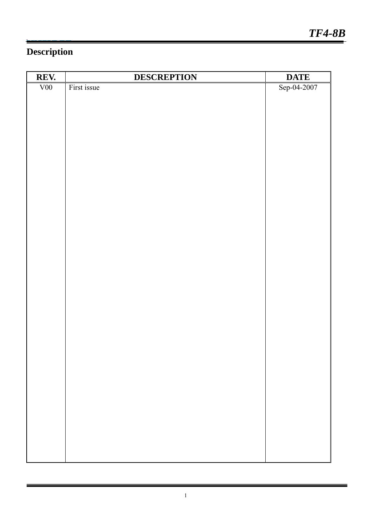# **Description**

| REV. | <b>DESCREPTION</b> | <b>DATE</b> |
|------|--------------------|-------------|
| V00  | First issue        | Sep-04-2007 |
|      |                    |             |
|      |                    |             |
|      |                    |             |
|      |                    |             |
|      |                    |             |
|      |                    |             |
|      |                    |             |
|      |                    |             |
|      |                    |             |
|      |                    |             |
|      |                    |             |
|      |                    |             |
|      |                    |             |
|      |                    |             |
|      |                    |             |
|      |                    |             |
|      |                    |             |
|      |                    |             |
|      |                    |             |
|      |                    |             |
|      |                    |             |
|      |                    |             |
|      |                    |             |
|      |                    |             |
|      |                    |             |
|      |                    |             |
|      |                    |             |
|      |                    |             |
|      |                    |             |
|      |                    |             |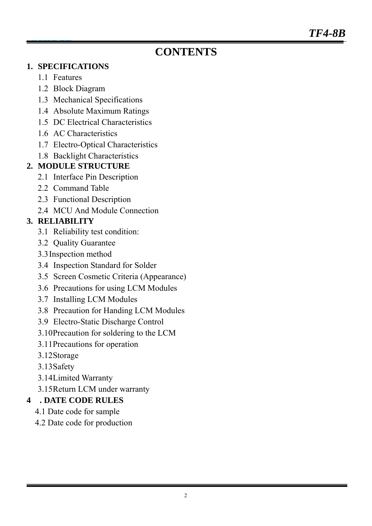# **CONTENTS**

#### **1. SPECIFICATIONS**

- 1.1 Features
- 1.2 Block Diagram
- 1.3 Mechanical Specifications
- 1.4 Absolute Maximum Ratings
- 1.5 DC Electrical Characteristics
- 1.6 AC Characteristics
- 1.7 Electro-Optical Characteristics
- 1.8 Backlight Characteristics

### **2. MODULE STRUCTURE**

- 2.1 Interface Pin Description
- 2.2 Command Table
- 2.3 Functional Description
- 2.4 MCU And Module Connection

# **3. RELIABILITY**

- 3.1 Reliability test condition:
- 3.2 Quality Guarantee
- 3.3Inspection method
- 3.4 Inspection Standard for Solder
- 3.5 Screen Cosmetic Criteria (Appearance)
- 3.6 Precautions for using LCM Modules
- 3.7 Installing LCM Modules
- 3.8 Precaution for Handing LCM Modules
- 3.9 Electro-Static Discharge Control
- 3.10Precaution for soldering to the LCM
- 3.11Precautions for operation
- 3.12Storage
- 3.13Safety
- 3.14Limited Warranty
- 3.15Return LCM under warranty

# **4 . DATE CODE RULES**

- 4.1 Date code for sample
- 4.2 Date code for production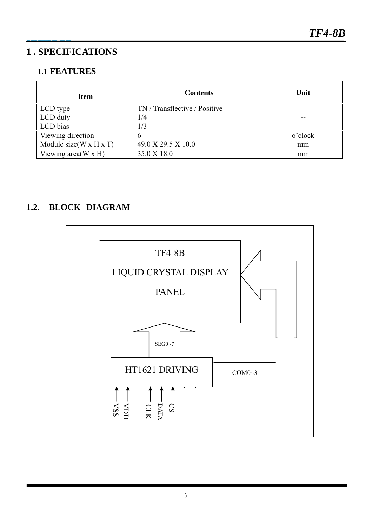### **1 . SPECIFICATIONS**

#### **1.1 FEATURES**

| <b>Item</b>                         | <b>Contents</b>               | Unit    |
|-------------------------------------|-------------------------------|---------|
| LCD type                            | TN / Transflective / Positive | --      |
| LCD duty                            | /4                            |         |
| LCD bias                            | 1/3                           |         |
| Viewing direction                   | b                             | o'clock |
| Module size $(W \times H \times T)$ | 49.0 X 29.5 X 10.0            | mm      |
| Viewing area $(W \times H)$         | 35.0 X 18.0                   | mm      |

# **1.2. BLOCK DIAGRAM**

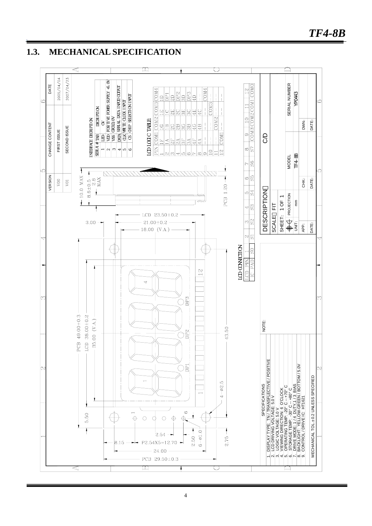#### **1.3. MECHANICAL SPECIFICATION**

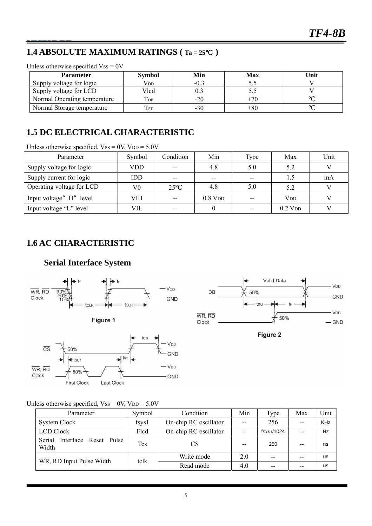V<sub>DD</sub>

**GND** 

V<sub>DD</sub>

 $-$  GND

### **1.4 ABSOLUTE MAXIMUM RATINGS ( Ta = 25**℃ **)**

| <b>Parameter</b>             | <b>Symbol</b> | Min    | <b>Max</b> | Unit |
|------------------------------|---------------|--------|------------|------|
| Supply voltage for logic     | $\rm V_{DD}$  | $-0.3$ |            |      |
| Supply voltage for LCD       | Vlcd          | 0.3    |            |      |
| Normal Operating temperature | Top           | $-20$  | $+70$      |      |
| Normal Storage temperature   | l sı          | -30    | $+80$      |      |

Unless otherwise specified  $V_{ss} = 0V$ 

### **1.5 DC ELECTRICAL CHARACTERISTIC**

Unless otherwise specified,  $V_{SS} = 0V$ ,  $V_{DD} = 5.0V$ 

| Parameter                 | Symbol | Condition | Min                   | Type  | Max                   | Unit |
|---------------------------|--------|-----------|-----------------------|-------|-----------------------|------|
| Supply voltage for logic  | VDD    | $- -$     | 4.8                   | 5.0   | 5.2                   |      |
| Supply current for logic  | IDD    | $- -$     | $- -$                 | $- -$ |                       | mA   |
| Operating voltage for LCD | V0     | 25        | 4.8                   | 5.0   | 5.2                   |      |
| Input voltage" H" level   | VIH    | $- -$     | $0.8$ V <sub>DD</sub> | $- -$ | <b>V<sub>DD</sub></b> |      |
| Input voltage "L" level   | VIL    | $- -$     |                       | $- -$ | $0.2$ V <sub>DD</sub> |      |

#### **1.6 AC CHARACTERISTIC**

#### **Serial Interface System**



Unless otherwise specified,  $Vss = 0V$ ,  $VDD = 5.0V$ 

| Parameter                                | Symbol      | Condition             | Min | Type       | Max   | Unit       |
|------------------------------------------|-------------|-----------------------|-----|------------|-------|------------|
| System Clock                             | $f$ sys $1$ | On-chip RC oscillator | $-$ | 256        |       | <b>KHz</b> |
| <b>LCD Clock</b>                         | Flcd        | On-chip RC oscillator |     | fsys1/1024 | --    | Hz         |
| Interface Reset Pulse<br>Serial<br>Width | Tcs         | CS                    |     | 250        |       | ns         |
|                                          | tclk        | Write mode            | 2.0 | $-$        | $- -$ | us         |
| WR, RD Input Pulse Width                 |             | Read mode             | 4.0 | --         |       | us         |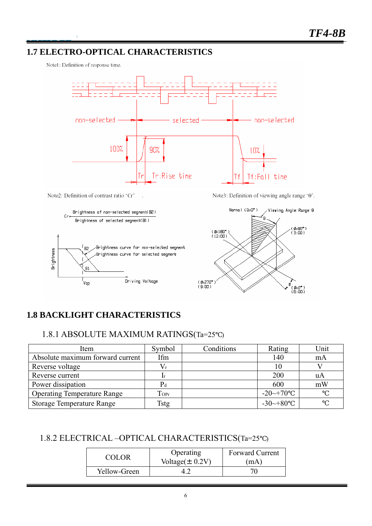#### **1.7 ELECTRO-OPTICAL CHARACTERISTICS**

Note1: Definition of response time.

 $\lambda$ 



Note2: Definition of contrast ratio 'Cr'



Note3: Definition of viewing angle range '0'.



# **1.8 BACKLIGHT CHARACTERISTICS**

#### 1.8.1 ABSOLUTE MAXIMUM RATINGS(Ta=25 )

| Item                               | Symbol                | Conditions | Rating               | Unit |
|------------------------------------|-----------------------|------------|----------------------|------|
| Absolute maximum forward current   | Ifm                   |            | 140                  | mA   |
| Reverse voltage                    | $V_r$                 |            |                      |      |
| Reverse current                    |                       |            | 200                  | uA   |
| Power dissipation                  | $P_d$                 |            | 600                  | mW   |
| <b>Operating Temperature Range</b> | $\operatorname{Topr}$ |            | $-20 \rightarrow 70$ |      |
| <b>Storage Temperature Range</b>   | Tstg                  |            | $-30 \rightarrow 80$ |      |

#### 1.8.2 ELECTRICAL –OPTICAL CHARACTERISTICS(Ta=25 )

| COLOR.       | Operating            | <b>Forward Current</b> |
|--------------|----------------------|------------------------|
|              | Voltage $(\pm 0.2V)$ | (mA)                   |
| Yellow-Green |                      |                        |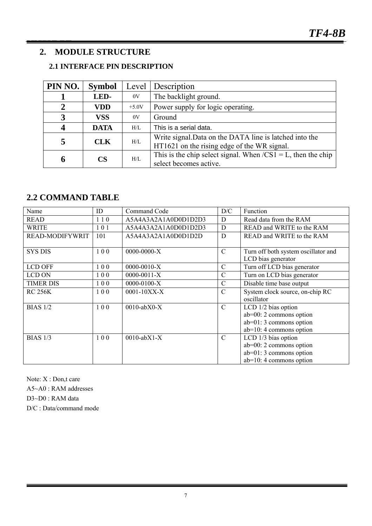#### **2. MODULE STRUCTURE**

#### **2.1 INTERFACE PIN DESCRIPTION**

| PIN NO. | <b>Symbol</b> | Level   | <i>Description</i>                                                                                     |
|---------|---------------|---------|--------------------------------------------------------------------------------------------------------|
|         | LED-          | 0V      | The backlight ground.                                                                                  |
|         | <b>VDD</b>    | $+5.0V$ | Power supply for logic operating.                                                                      |
| 3       | <b>VSS</b>    | 0V      | Ground                                                                                                 |
|         | <b>DATA</b>   | $H/I$ . | This is a serial data.                                                                                 |
|         | <b>CLK</b>    | H/I     | Write signal. Data on the DATA line is latched into the<br>HT1621 on the rising edge of the WR signal. |
| 6       | <b>CS</b>     | $H/I$ . | This is the chip select signal. When $/CS1 = L$ , then the chip<br>select becomes active.              |

#### **2.2 COMMAND TABLE**

| Name                   | ID  | Command Code         | D/C           | Function                                                  |
|------------------------|-----|----------------------|---------------|-----------------------------------------------------------|
| READ                   | 110 | A5A4A3A2A1A0D0D1D2D3 | D             | Read data from the RAM                                    |
| <b>WRITE</b>           | 101 | A5A4A3A2A1A0D0D1D2D3 | D             | READ and WRITE to the RAM                                 |
| <b>READ-MODIFYWRIT</b> | 101 | A5A4A3A2A1A0D0D1D2D  | D             | READ and WRITE to the RAM                                 |
| <b>SYS DIS</b>         | 100 | $0000-0000-X$        | $\mathcal{C}$ | Turn off both system oscillator and<br>LCD bias generator |
| <b>LCD OFF</b>         | 100 | $0000-0010-X$        | $\mathbf C$   | Turn off LCD bias generator                               |
| LCD ON                 | 100 | $0000 - 0011 - X$    | $\mathcal{C}$ | Turn on LCD bias generator                                |
| <b>TIMER DIS</b>       | 100 | $0000 - 0100 - X$    | $\mathbf C$   | Disable time base output                                  |
| <b>RC 256K</b>         | 100 | $0001 - 10XX-X$      | $\mathcal{C}$ | System clock source, on-chip RC                           |
|                        |     |                      |               | oscillator                                                |
| <b>BIAS 1/2</b>        | 100 | $0010$ -ab $X0-X$    | $\mathcal{C}$ | LCD 1/2 bias option                                       |
|                        |     |                      |               | $ab=00:2$ commons option                                  |
|                        |     |                      |               | $ab=01:3$ commons option                                  |
|                        |     |                      |               | $ab=10:4$ commons option                                  |
| <b>BIAS</b> 1/3        | 100 | $0010$ -ab $X1-X$    | $\mathcal{C}$ | LCD 1/3 bias option                                       |
|                        |     |                      |               | $ab=00$ : 2 commons option                                |
|                        |     |                      |               | $ab=01:3$ commons option                                  |
|                        |     |                      |               | $ab=10:4$ commons option                                  |

Note: X : Don,t care A5~A0 : RAM addresses D3~D0 : RAM data D/C : Data/command mode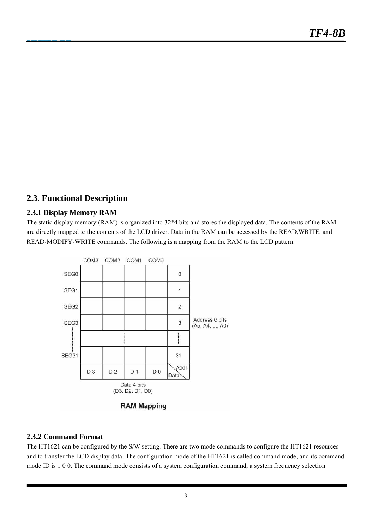#### **2.3. Functional Description**

#### **2.3.1 Display Memory RAM**

The static display memory (RAM) is organized into 32\*4 bits and stores the displayed data. The contents of the RAM are directly mapped to the contents of the LCD driver. Data in the RAM can be accessed by the READ,WRITE, and READ-MODIFY-WRITE commands. The following is a mapping from the RAM to the LCD pattern:



#### **2.3.2 Command Format**

The HT1621 can be configured by the S/W setting. There are two mode commands to configure the HT1621 resources and to transfer the LCD display data. The configuration mode of the HT1621 is called command mode, and its command mode ID is 1 0 0. The command mode consists of a system configuration command, a system frequency selection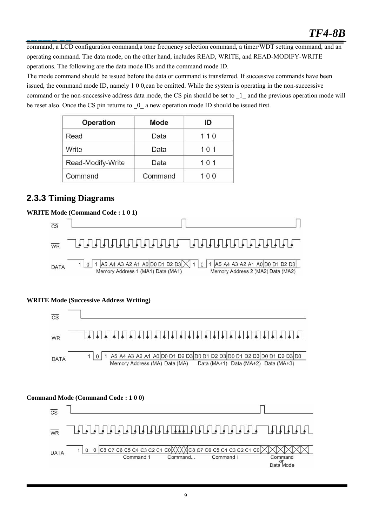command, a LCD configuration command,a tone frequency selection command, a timer/WDT setting command, and an operating command. The data mode, on the other hand, includes READ, WRITE, and READ-MODIFY-WRITE operations. The following are the data mode IDs and the command mode ID.

The mode command should be issued before the data or command is transferred. If successive commands have been issued, the command mode ID, namely 1 0 0,can be omitted. While the system is operating in the non-successive command or the non-successive address data mode, the CS pin should be set to \_1\_ and the previous operation mode will be reset also. Once the CS pin returns to  $\overline{\phantom{0}}0$  a new operation mode ID should be issued first.

| Operation         | Mode    | ID  |
|-------------------|---------|-----|
| Read              | Data    | 110 |
| Write             | Data    | 101 |
| Read-Modify-Write | Data    | 101 |
| Command           | Command | 100 |

#### **2.3.3 Timing Diagrams**

#### **WRITE Mode (Command Code : 1 0 1)**



#### **WRITE Mode (Successive Address Writing)**



#### **Command Mode (Command Code : 1 0 0)**

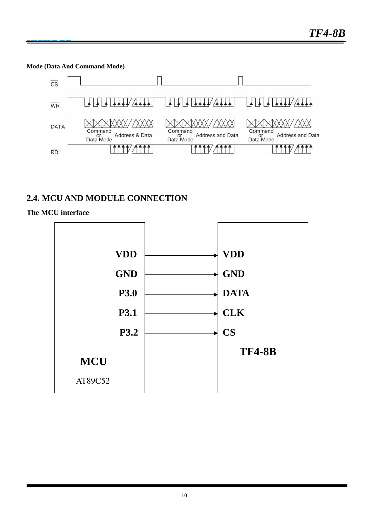**Mode (Data And Command Mode)** 



#### **2.4. MCU AND MODULE CONNECTION**

#### **The MCU interface**

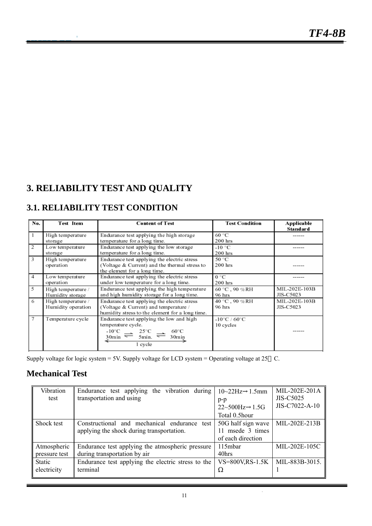# **3. RELIABILITY TEST AND QUALITY**

### **3.1. RELIABILITY TEST CONDITION**

| No. | Test Item                                | <b>Content of Test</b>                                                                                                                                                                                                 | <b>Test Condition</b>                          | Applicable<br><b>Standard</b> |
|-----|------------------------------------------|------------------------------------------------------------------------------------------------------------------------------------------------------------------------------------------------------------------------|------------------------------------------------|-------------------------------|
|     | High temperature<br>storage              | Endurance test applying the high storage<br>temperature for a long time.                                                                                                                                               | 60 °C<br>$200$ hrs                             |                               |
| 2   | Low temperature<br>storage               | Endurance test applying the low storage<br>temperature for a long time.                                                                                                                                                | $-10$ °C<br>$200$ hrs                          |                               |
| 3   | High temperature<br>operation            | Endurance test applying the electric stress<br>(Voltage & Current) and the thermal stress to<br>the element for a long time.                                                                                           | 50 °C<br>$200$ hrs                             |                               |
| 4   | Low temperature<br>operation             | Endurance test applying the electric stress<br>under low temperature for a long time.                                                                                                                                  | 0 °C<br>$200$ hrs                              |                               |
| 5   | High temperature /<br>Humidity storage   | Endurance test applying the high temperature<br>and high humidity storage for a long time.                                                                                                                             | 60 °C, 90 %RH<br>96 hrs                        | MIL-202E-103B<br>JIS-C5023    |
| 6   | High temperature /<br>Humidity operation | Endurance test applying the electric stress<br>(Voltage & Current) and temperature /<br>humidity stress to the element for a long time.                                                                                | 40 °C, 90 %RH<br>96 hrs                        | MIL-202E-103B<br>JIS-C5023    |
| 7   | Temperature cycle                        | Endurance test applying the low and high<br>temperature cycle.<br>$\frac{10^{\circ}C}{30\text{min}} \rightleftharpoons \frac{25^{\circ}C}{5\text{min}} \rightleftharpoons \frac{60^{\circ}C}{30\text{min}}$<br>1 cycle | $-10^{\circ}$ C / 60 $^{\circ}$ C<br>10 cycles |                               |

Supply voltage for logic system = 5V. Supply voltage for LCD system = Operating voltage at 25 C.

#### **Mechanical Test**

| Vibration     | Endurance test applying the vibration during       | $10 - 22$ Hz $1.5$ mm | MIL-202E-201A    |
|---------------|----------------------------------------------------|-----------------------|------------------|
| test          | transportation and using                           | $p-p$                 | <b>JIS-C5025</b> |
|               |                                                    | $22 \sim 500$ Hz 1.5G | JIS-C7022-A-10   |
|               |                                                    | Total 0.5hour         |                  |
| Shock test    | Constructional and mechanical endurance test       | 50G half sign wave    | MIL-202E-213B    |
|               | applying the shock during transportation.          | 11 msede 3 times      |                  |
|               |                                                    | of each direction     |                  |
| Atmospheric   | Endurance test applying the atmospheric pressure   | 115mbar               | MIL-202E-105C    |
| pressure test | during transportation by air                       | 40hrs                 |                  |
| Static        | Endurance test applying the electric stress to the | $VS = 800V$ , RS-1.5K | MIL-883B-3015.   |
| electricity   | terminal                                           |                       |                  |
|               |                                                    |                       |                  |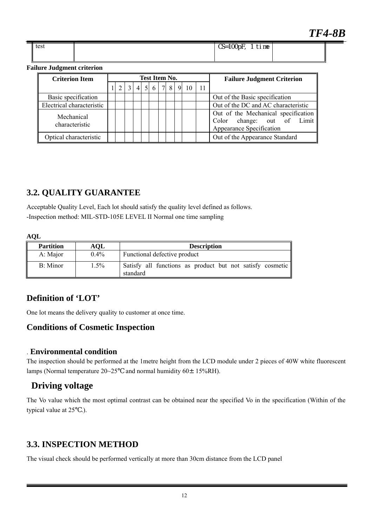| t≏c<br>いしっし | $\overline{CS=1}$ OQpF<br>$\overline{ }$<br>. .<br>time |  |
|-------------|---------------------------------------------------------|--|
|             |                                                         |  |

#### **Failure Judgment criterion**

| <b>Criterion Item</b>        |                                                                         | <b>Test Item No.</b> |  |  |  | <b>Failure Judgment Criterion</b> |  |  |                                                                                               |
|------------------------------|-------------------------------------------------------------------------|----------------------|--|--|--|-----------------------------------|--|--|-----------------------------------------------------------------------------------------------|
|                              | $4 \mid 5 \mid 6 \mid 7 \mid 8 \mid 9 \mid 10$<br>-11<br>$\overline{2}$ |                      |  |  |  |                                   |  |  |                                                                                               |
| Basic specification          |                                                                         |                      |  |  |  |                                   |  |  | Out of the Basic specification                                                                |
| Electrical characteristic    |                                                                         |                      |  |  |  |                                   |  |  | Out of the DC and AC characteristic                                                           |
| Mechanical<br>characteristic |                                                                         |                      |  |  |  |                                   |  |  | Out of the Mechanical specification<br>Color change: out of Limit<br>Appearance Specification |
| Optical characteristic       |                                                                         |                      |  |  |  |                                   |  |  | Out of the Appearance Standard                                                                |

#### **3.2. QUALITY GUARANTEE**

Acceptable Quality Level, Each lot should satisfy the quality level defined as follows. -Inspection method: MIL-STD-105E LEVEL II Normal one time sampling

#### **AQL**

| <b>Partition</b> | AOL     | <b>Description</b>                                                    |
|------------------|---------|-----------------------------------------------------------------------|
| A: Major         | $0.4\%$ | Functional defective product                                          |
| B: Minor         | .5%     | Satisfy all functions as product but not satisfy cosmetic<br>standard |

#### **Definition of 'LOT'**

One lot means the delivery quality to customer at once time.

#### **Conditions of Cosmetic Inspection**

#### . **Environmental condition**

The inspection should be performed at the 1metre height from the LCD module under 2 pieces of 40W white fluorescent lamps (Normal temperature 20~25 and normal humidity 60±15%RH).

#### **Driving voltage**

The Vo value which the most optimal contrast can be obtained near the specified Vo in the specification (Within of the typical value at 25 .).

#### **3.3. INSPECTION METHOD**

The visual check should be performed vertically at more than 30cm distance from the LCD panel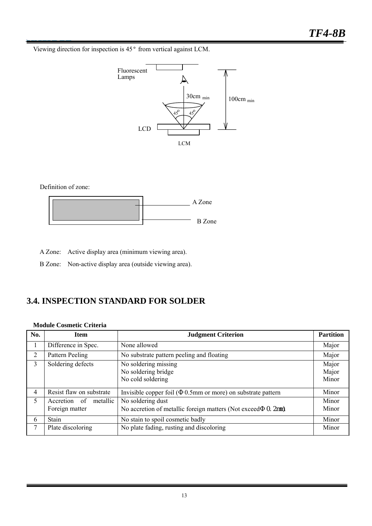Viewing direction for inspection is 45° from vertical against LCM.



#### Definition of zone:



A Zone: Active display area (minimum viewing area).

B Zone: Non-active display area (outside viewing area).

#### **3.4. INSPECTION STANDARD FOR SOLDER**

#### **Module Cosmetic Criteria**

| No.            | <b>Item</b>                                | <b>Judgment Criterion</b>                                                           | <b>Partition</b>        |
|----------------|--------------------------------------------|-------------------------------------------------------------------------------------|-------------------------|
|                | Difference in Spec.                        | None allowed                                                                        | Major                   |
| 2              | Pattern Peeling                            | No substrate pattern peeling and floating                                           | Major                   |
| $\mathbf{3}$   | Soldering defects                          | No soldering missing<br>No soldering bridge<br>No cold soldering                    | Major<br>Major<br>Minor |
| $\overline{4}$ | Resist flaw on substrate                   | Invisible copper foil (<br>0.5mm or more) on substrate pattern                      | Minor                   |
| 5              | metallic<br>Accretion of<br>Foreign matter | No soldering dust<br>No accretion of metallic foreign matters (Not exceed<br>0. 2mm | Minor<br>Minor          |
| 6              | Stain                                      | No stain to spoil cosmetic badly                                                    | Minor                   |
| 7              | Plate discoloring                          | No plate fading, rusting and discoloring                                            | Minor                   |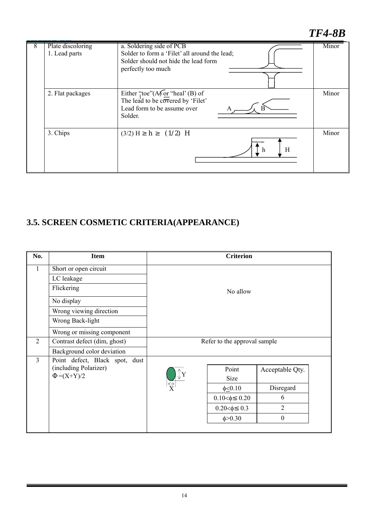# *TF4-8B*

| Plate discoloring<br>1. Lead parts | a. Soldering side of PCB<br>Solder to form a 'Filet' all around the lead;<br>Solder should not hide the lead form<br>perfectly too much                     | Minor |
|------------------------------------|-------------------------------------------------------------------------------------------------------------------------------------------------------------|-------|
| 2. Flat packages                   | Either "toe"( $A\sqrt{or}$ "heal" (B) of<br>The lead to be $c\overline{\overline{o}}\overline{v}$ ered by 'Filet'<br>Lead form to be assume over<br>Solder. | Minor |
| 3. Chips                           | $(1/2)$ H<br>$(3/2)$ H<br>h.<br>H<br>- h                                                                                                                    | Minor |

# **3.5. SCREEN COSMETIC CRITERIA(APPEARANCE)**

| No.            | <b>Item</b>                    | <b>Criterion</b>             |                  |
|----------------|--------------------------------|------------------------------|------------------|
| $\mathbf{1}$   | Short or open circuit          |                              |                  |
|                | LC leakage                     |                              |                  |
|                | Flickering                     | No allow                     |                  |
|                | No display                     |                              |                  |
|                | Wrong viewing direction        |                              |                  |
|                | Wrong Back-light               |                              |                  |
|                | Wrong or missing component     |                              |                  |
| $\overline{2}$ | Contrast defect (dim, ghost)   | Refer to the approval sample |                  |
|                | Background color deviation     |                              |                  |
| $\overline{3}$ | Point defect, Black spot, dust |                              |                  |
|                | (including Polarizer)          | Point                        | Acceptable Qty.  |
|                | $=(X+Y)/2$                     | Size                         |                  |
|                |                                | $\phi \leq 0.10$             | Disregard        |
|                |                                | $0.10<\phi$ 0.20             | 6                |
|                |                                | $0.20 < \phi$ 0.3            | $\overline{2}$   |
|                |                                | $\phi > 0.30$                | $\boldsymbol{0}$ |
|                |                                |                              |                  |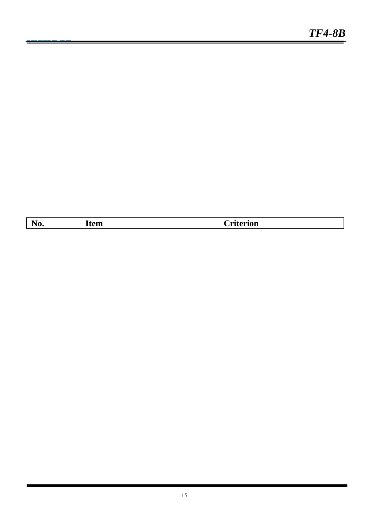| $\overline{\phantom{0}}$<br>$\overline{\phantom{0}}$<br><b>AV.</b> | .<br>тем | $\sim$ $\sim$<br><b>CLITELIOIL</b> |
|--------------------------------------------------------------------|----------|------------------------------------|
|                                                                    |          |                                    |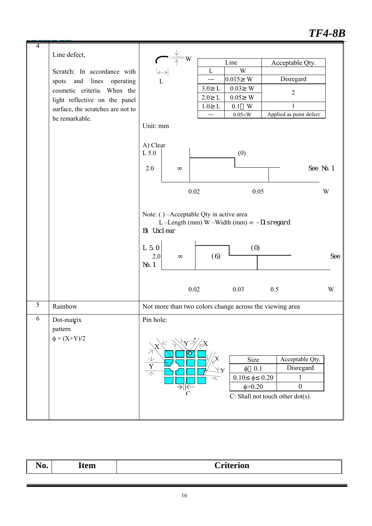# *TF4-8B*

| $\overline{4}$ |                                   |                                                                                            |  |
|----------------|-----------------------------------|--------------------------------------------------------------------------------------------|--|
|                | Line defect,                      | W                                                                                          |  |
|                |                                   | Line<br>Acceptable Qty.<br>W<br>L                                                          |  |
|                | Scratch: In accordance with       | $\leftrightarrow$<br>Disregard<br>0.015<br>W<br>---                                        |  |
|                | spots and lines operating         | $\overline{L}$<br>0.03<br>W<br>3.0<br>$\mathbf{L}$                                         |  |
|                | cosmetic criteria. When the       | $\overline{2}$<br>2.0<br>$\mathbf{L}$<br>0.05<br>W                                         |  |
|                | light reflective on the panel     | $\mathbf{L}$<br>W<br>1.0<br>0.1<br>1                                                       |  |
|                | surface, the scratches are not to | Applied as point defect<br>$0.05<\!\!W$<br>---                                             |  |
|                | be remarkable.                    | Unit: mm                                                                                   |  |
|                |                                   |                                                                                            |  |
|                |                                   | A) Clear                                                                                   |  |
|                |                                   | (0)<br>L 5.0                                                                               |  |
|                |                                   |                                                                                            |  |
|                |                                   | 2.0<br>See No. 1                                                                           |  |
|                |                                   |                                                                                            |  |
|                |                                   | 0.02<br>0.05<br>W                                                                          |  |
|                |                                   |                                                                                            |  |
|                |                                   |                                                                                            |  |
|                |                                   | Note: () -Acceptable Qty in active area<br>L-Length (mm) W-Width (mm) $\infty$ -Di sregard |  |
|                |                                   | B) Uncl ear                                                                                |  |
|                |                                   |                                                                                            |  |
|                |                                   | $L$ 5.0<br>(0)                                                                             |  |
|                |                                   | (6)<br>2.0<br>See                                                                          |  |
|                |                                   | No. 1                                                                                      |  |
|                |                                   |                                                                                            |  |
|                |                                   | 0.02<br>0.03<br>0.5<br>W                                                                   |  |
|                |                                   |                                                                                            |  |
| 5              | Rainbow                           | Not more than two colors change across the viewing area                                    |  |
| 6              | Dot-matrix                        | Pin hole:                                                                                  |  |
|                | pattern                           |                                                                                            |  |
|                | $\phi = (X+Y)/2$                  |                                                                                            |  |
|                |                                   | ŹΧ                                                                                         |  |
|                |                                   | ♦<br>Size<br>Acceptable Qty.                                                               |  |
|                |                                   | $\frac{1}{\sqrt{2}}$<br>Disregard<br>0.1<br>φ                                              |  |
|                |                                   | $\phi$<br>0.20<br>0.10<br>1<br>$\curvearrowleft$                                           |  |
|                |                                   | $\boldsymbol{0}$<br>$\phi > 0.20$<br>$\rightarrow$                                         |  |
|                |                                   | C: Shall not touch other dot(s).                                                           |  |
|                |                                   |                                                                                            |  |
|                |                                   |                                                                                            |  |

| $ -$<br>71 <i>.</i><br><b>Item</b><br>Uriterion<br>THQ. |  |
|---------------------------------------------------------|--|
|---------------------------------------------------------|--|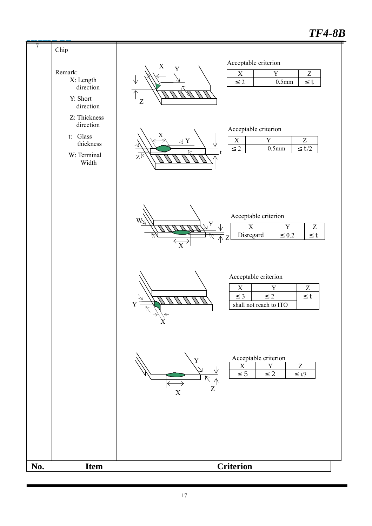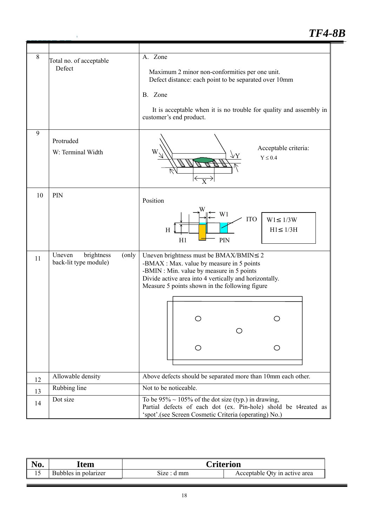# *TF4-8B*

| $\,8\,$<br>9 | Total no. of acceptable<br>Defect                       | A. Zone<br>Maximum 2 minor non-conformities per one unit.<br>Defect distance: each point to be separated over 10mm<br>B. Zone<br>It is acceptable when it is no trouble for quality and assembly in<br>customer's end product.                                      |
|--------------|---------------------------------------------------------|---------------------------------------------------------------------------------------------------------------------------------------------------------------------------------------------------------------------------------------------------------------------|
|              | Protruded<br>W: Terminal Width                          | Acceptable criteria:<br>$Y \leq 0.4$<br>$\overline{\mathrm{X}}$                                                                                                                                                                                                     |
| 10           | PIN                                                     | Position<br>W1<br><b>ITO</b><br>1/3W<br>W1<br>H1<br>1/3H<br>Η<br>H1<br>PIN                                                                                                                                                                                          |
| 11           | brightness<br>Uneven<br>(only)<br>back-lit type module) | Uneven brightness must be BMAX/BMIN<br>2<br>-BMAX : Max. value by measure in 5 points<br>-BMIN : Min. value by measure in 5 points<br>Divide active area into 4 vertically and horizontally.<br>Measure 5 points shown in the following figure<br>O<br>$\circ$<br>O |
| 12           | Allowable density                                       | Above defects should be separated more than 10mm each other.                                                                                                                                                                                                        |
| 13           | Rubbing line                                            | Not to be noticeable.                                                                                                                                                                                                                                               |
| 14           | Dot size                                                | To be $95\% \sim 105\%$ of the dot size (typ.) in drawing,<br>Partial defects of each dot (ex. Pin-hole) shold be t4reated as<br>'spot'.(see Screen Cosmetic Criteria (operating) No.)                                                                              |

 $\hat{\mathbf{J}}$ 

| N <sub>0</sub> . | Item                 | <b>Criterion</b> |                               |
|------------------|----------------------|------------------|-------------------------------|
|                  | Bubbles in polarizer | Size : d mm      | Acceptable Qty in active area |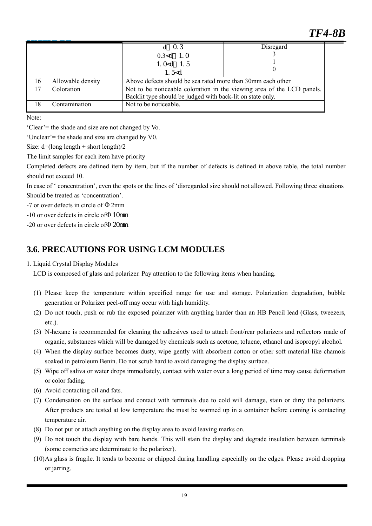|    |                   | $d \quad 0.3$                                                          | Disregard |  |  |
|----|-------------------|------------------------------------------------------------------------|-----------|--|--|
|    |                   | $0.3 < d$ 1.0                                                          |           |  |  |
|    |                   | 1. $0 < d$ 1.5                                                         |           |  |  |
|    |                   | 1.5 $<$ d                                                              |           |  |  |
| 16 | Allowable density | Above defects should be sea rated more than 30mm each other            |           |  |  |
| 17 | Coloration        | Not to be noticeable coloration in the viewing area of the LCD panels. |           |  |  |
|    |                   | Backlit type should be judged with back-lit on state only.             |           |  |  |
| 18 | Contamination     | Not to be noticeable.                                                  |           |  |  |
|    |                   |                                                                        |           |  |  |

Note:

'Clear'= the shade and size are not changed by Vo.

'Unclear'= the shade and size are changed by V0.

Size:  $d=(\text{long length} + \text{short length})/2$ 

The limit samples for each item have priority

Completed defects are defined item by item, but if the number of defects is defined in above table, the total number should not exceed 10.

In case of ' concentration', even the spots or the lines of 'disregarded size should not allowed. Following three situations Should be treated as 'concentration'.

-7 or over defects in circle of 2mm

-10 or over defects in circle of 10mm

 $-20$  or over defects in circle of  $20$ mm

#### **3.6. PRECAUTIONS FOR USING LCM MODULES**

#### 1. Liquid Crystal Display Modules

LCD is composed of glass and polarizer. Pay attention to the following items when handing.

- (1) Please keep the temperature within specified range for use and storage. Polarization degradation, bubble generation or Polarizer peel-off may occur with high humidity.
- (2) Do not touch, push or rub the exposed polarizer with anything harder than an HB Pencil lead (Glass, tweezers, etc.).
- (3) N-hexane is recommended for cleaning the adhesives used to attach front/rear polarizers and reflectors made of organic, substances which will be damaged by chemicals such as acetone, toluene, ethanol and isopropyl alcohol.
- (4) When the display surface becomes dusty, wipe gently with absorbent cotton or other soft material like chamois soaked in petroleum Benin. Do not scrub hard to avoid damaging the display surface.
- (5) Wipe off saliva or water drops immediately, contact with water over a long period of time may cause deformation or color fading.
- (6) Avoid contacting oil and fats.
- (7) Condensation on the surface and contact with terminals due to cold will damage, stain or dirty the polarizers. After products are tested at low temperature the must be warmed up in a container before coming is contacting temperature air.
- (8) Do not put or attach anything on the display area to avoid leaving marks on.
- (9) Do not touch the display with bare hands. This will stain the display and degrade insulation between terminals (some cosmetics are determinate to the polarizer).
- (10)As glass is fragile. It tends to become or chipped during handling especially on the edges. Please avoid dropping or jarring.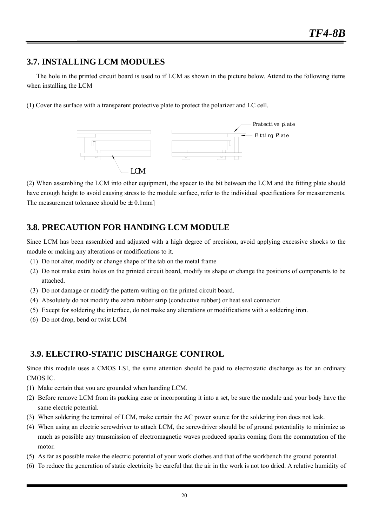#### **3.7. INSTALLING LCM MODULES**

 The hole in the printed circuit board is used to if LCM as shown in the picture below. Attend to the following items when installing the LCM

(1) Cover the surface with a transparent protective plate to protect the polarizer and LC cell.



(2) When assembling the LCM into other equipment, the spacer to the bit between the LCM and the fitting plate should have enough height to avoid causing stress to the module surface, refer to the individual specifications for measurements. The measurement tolerance should be  $\pm$  0.1mm]

### **3.8. PRECAUTION FOR HANDING LCM MODULE**

Since LCM has been assembled and adjusted with a high degree of precision, avoid applying excessive shocks to the module or making any alterations or modifications to it.

- (1) Do not alter, modify or change shape of the tab on the metal frame
- (2) Do not make extra holes on the printed circuit board, modify its shape or change the positions of components to be attached.
- (3) Do not damage or modify the pattern writing on the printed circuit board.
- (4) Absolutely do not modify the zebra rubber strip (conductive rubber) or heat seal connector.
- (5) Except for soldering the interface, do not make any alterations or modifications with a soldering iron.
- (6) Do not drop, bend or twist LCM

#### **3.9. ELECTRO-STATIC DISCHARGE CONTROL**

Since this module uses a CMOS LSI, the same attention should be paid to electrostatic discharge as for an ordinary CMOS IC.

- (1) Make certain that you are grounded when handing LCM.
- (2) Before remove LCM from its packing case or incorporating it into a set, be sure the module and your body have the same electric potential.
- (3) When soldering the terminal of LCM, make certain the AC power source for the soldering iron does not leak.
- (4) When using an electric screwdriver to attach LCM, the screwdriver should be of ground potentiality to minimize as much as possible any transmission of electromagnetic waves produced sparks coming from the commutation of the motor.
- (5) As far as possible make the electric potential of your work clothes and that of the workbench the ground potential.
- (6) To reduce the generation of static electricity be careful that the air in the work is not too dried. A relative humidity of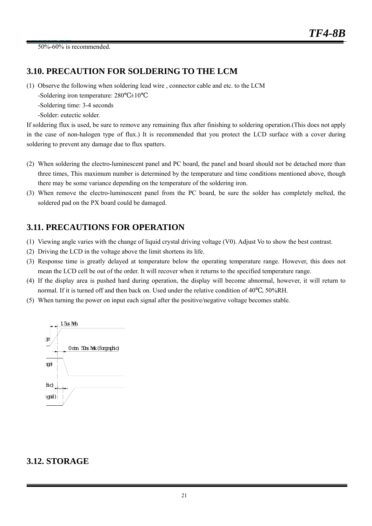50%-60% is recommended.

#### **3.10. PRECAUTION FOR SOLDERING TO THE LCM**

(1) Observe the following when soldering lead wire , connector cable and etc. to the LCM

-Soldering iron temperature:  $280 \pm 10$ 

-Soldering time: 3-4 seconds

-Solder: eutectic solder.

If soldering flux is used, be sure to remove any remaining flux after finishing to soldering operation.(This does not apply in the case of non-halogen type of flux.) It is recommended that you protect the LCD surface with a cover during soldering to prevent any damage due to flux spatters.

- (2) When soldering the electro-luminescent panel and PC board, the panel and board should not be detached more than three times, This maximum number is determined by the temperature and time conditions mentioned above, though there may be some variance depending on the temperature of the soldering iron.
- (3) When remove the electro-luminescent panel from the PC board, be sure the solder has completely melted, the soldered pad on the PX board could be damaged.

#### **3.11. PRECAUTIONS FOR OPERATION**

- (1) Viewing angle varies with the change of liquid crystal driving voltage (V0). Adjust Vo to show the best contrast.
- (2) Driving the LCD in the voltage above the limit shortens its life.
- (3) Response time is greatly delayed at temperature below the operating temperature range. However, this does not mean the LCD cell be out of the order. It will recover when it returns to the specified temperature range.
- (4) If the display area is pushed hard during operation, the display will become abnormal, however, it will return to normal. If it is turned off and then back on. Used under the relative condition of 40 , 50%RH.
- (5) When turning the power on input each signal after the positive/negative voltage becomes stable.



#### **3.12. STORAGE**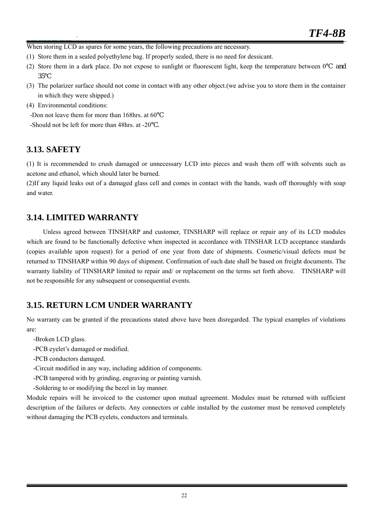When storing LCD as spares for some years, the following precautions are necessary.

- (1) Store them in a sealed polyethylene bag. If properly sealed, there is no need for dessicant.
- (2) Store them in a dark place. Do not expose to sunlight or fluorescent light, keep the temperature between 0℃ and 35℃
- (3) The polarizer surface should not come in contact with any other object.(we advise you to store them in the container in which they were shipped.)
- (4) Environmental conditions:

 $\overline{1}$ 

-Don not leave them for more than 168hrs. at 60

-Should not be left for more than 48hrs. at -20℃.

#### **3.13. SAFETY**

(1) It is recommended to crush damaged or unnecessary LCD into pieces and wash them off with solvents such as acetone and ethanol, which should later be burned.

(2)If any liquid leaks out of a damaged glass cell and comes in contact with the hands, wash off thoroughly with soap and water.

#### **3.14. LIMITED WARRANTY**

Unless agreed between TINSHARP and customer, TINSHARP will replace or repair any of its LCD modules which are found to be functionally defective when inspected in accordance with TINSHAR LCD acceptance standards (copies available upon request) for a period of one year from date of shipments. Cosmetic/visual defects must be returned to TINSHARP within 90 days of shipment. Confirmation of such date shall be based on freight documents. The warranty liability of TINSHARP limited to repair and/ or replacement on the terms set forth above. TINSHARP will not be responsible for any subsequent or consequential events.

#### **3.15. RETURN LCM UNDER WARRANTY**

No warranty can be granted if the precautions stated above have been disregarded. The typical examples of violations are:

- -Broken LCD glass.
- -PCB eyelet's damaged or modified.
- -PCB conductors damaged.
- -Circuit modified in any way, including addition of components.
- -PCB tampered with by grinding, engraving or painting varnish.
- -Soldering to or modifying the bezel in lay manner.

Module repairs will be invoiced to the customer upon mutual agreement. Modules must be returned with sufficient description of the failures or defects. Any connectors or cable installed by the customer must be removed completely without damaging the PCB eyelets, conductors and terminals.